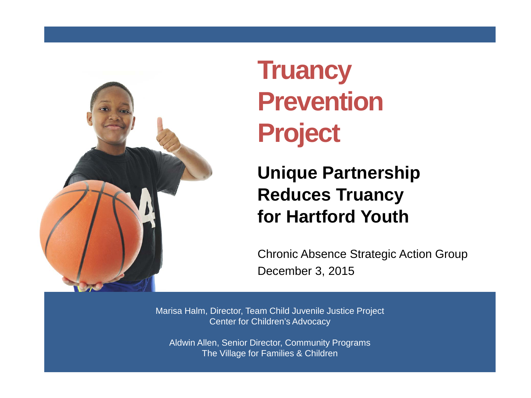

# **Truancy Prevention Project**

#### **Unique Partnership Reduces Truancy for Hartford Youth**

Chronic Absence Strategic Action Group December 3, 2015

Marisa Halm, Director, Team Child Juvenile Justice Project Center for Children's Advocacy

Aldwin Allen, Senior Director, Community Programs The Village for Families & Children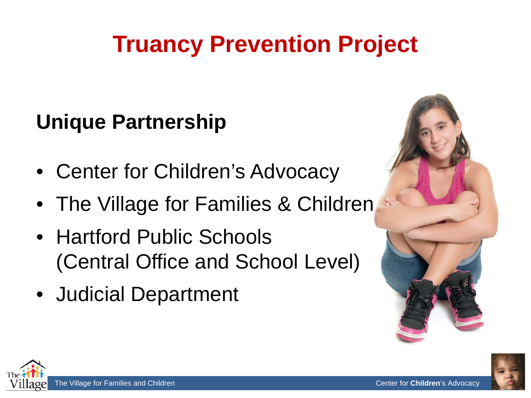# **Truancy Prevention Project**

## **Unique Partnership**

- Center for Children's Advocacy
- The Village for Families & Children
- Hartford Public Schools (Central Office and School Level)
- Judicial Department





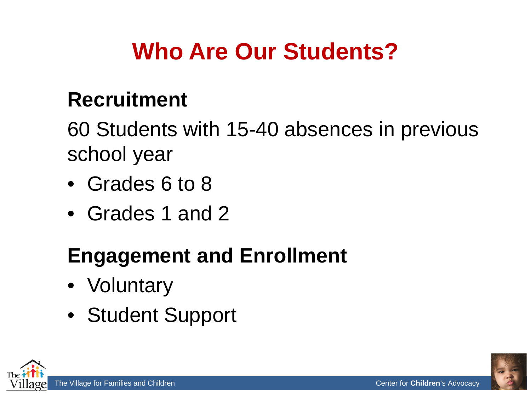# **Who Are Our Students?**

### **Recruitment**

60 Students with 15-40 absences in previous school year

- Grades 6 to 8
- Grades 1 and 2

### **Engagement and Enrollment**

- Voluntary
- Student Support

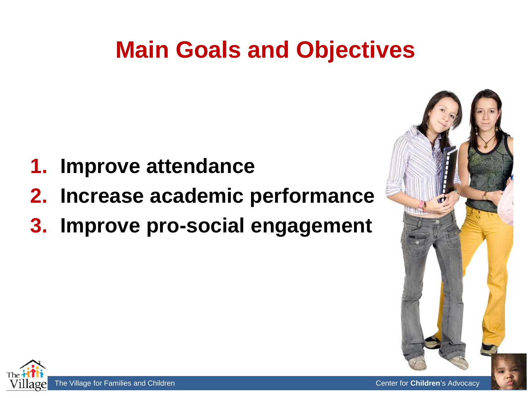# **Main Goals and Objectives**

- **1. Improve attendance**
- **2. Increase academic performance**
- **3. Improve pro-social engagement**



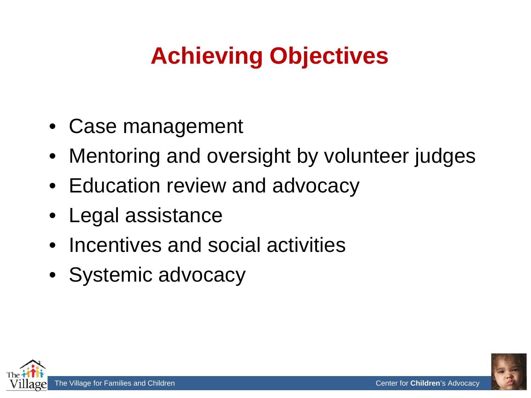# **Achieving Objectives**

- Case management
- Mentoring and oversight by volunteer judges
- Education review and advocacy
- Legal assistance
- Incentives and social activities
- Systemic advocacy

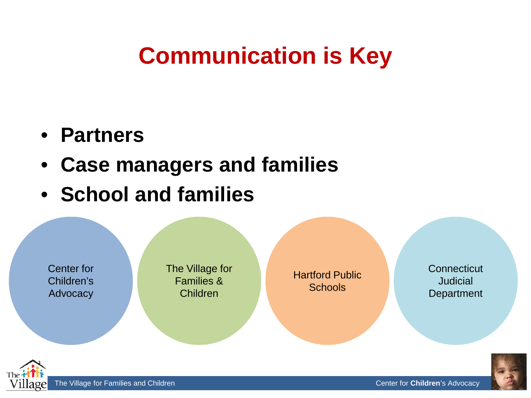## **Communication is Key**

- **Partners**
- **Case managers and families**
- **School and families**

Center for Children's Advocacy The Village for Families & Children

Hartford Public **Schools** 

**Connecticut** Judicial **Department** 

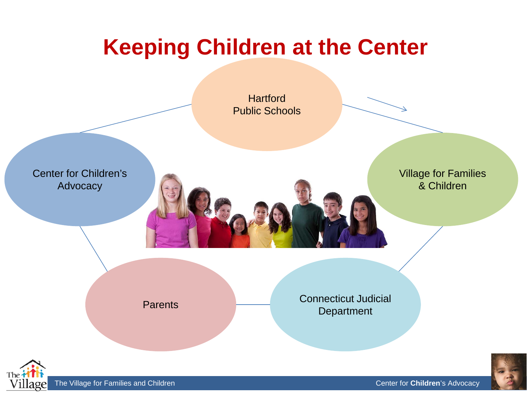## **Keeping Children at the Center**

**Hartford** Public Schools

Center for Children's Advocacy

Village for Families & Children

Parents

Connecticut Judicial **Department** 



The Village for Families and Children kidscounsel. **The Village for Children's Advocacy** Center for **Children**'s Advocacy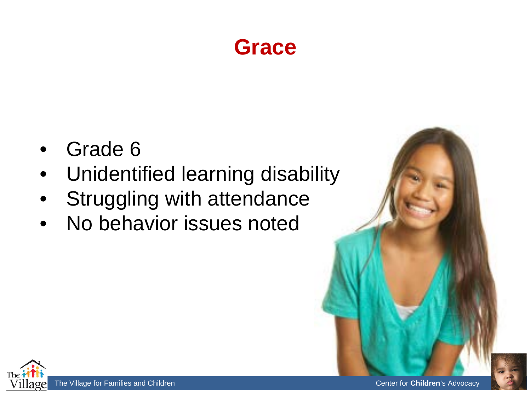### **Grace**

- Grade 6
- Unidentified learning disability
- Struggling with attendance
- No behavior issues noted

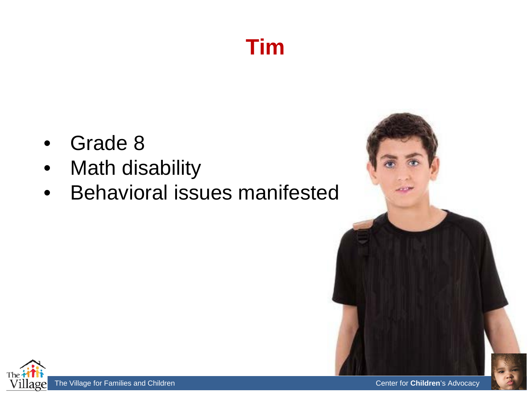## **Tim**

- Grade 8
- Math disability
- Behavioral issues manifested



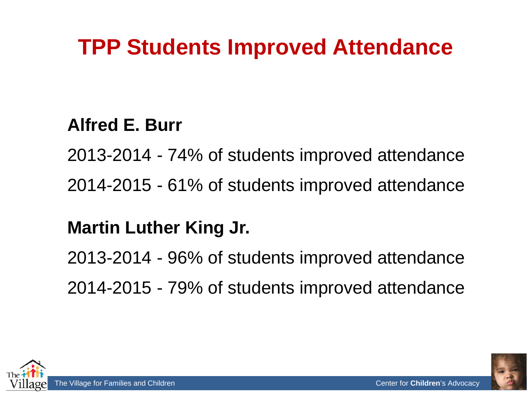## **TPP Students Improved Attendance**

#### **Alfred E. Burr**

2013-2014 - 74% of students improved attendance 2014-2015 - 61% of students improved attendance

#### **Martin Luther King Jr.**

2013-2014 - 96% of students improved attendance 2014-2015 - 79% of students improved attendance



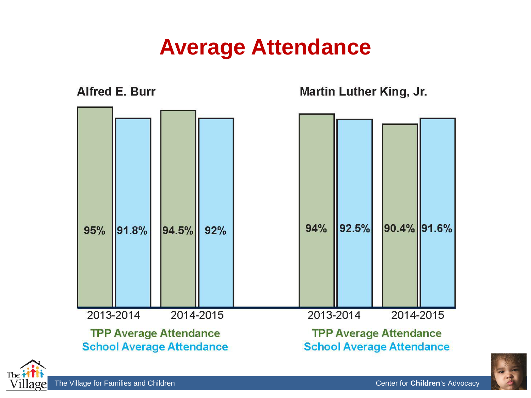### **Average Attendance**

**Alfred E. Burr Martin Luther King, Jr.** 90.4% 91.6% 94% 92.5% 91.8% 94.5% 95%  $92%$ 2013-2014 2014-2015 2013-2014 2014-2015 **TPP Average Attendance TPP Average Attendance School Average Attendance School Average Attendance** 



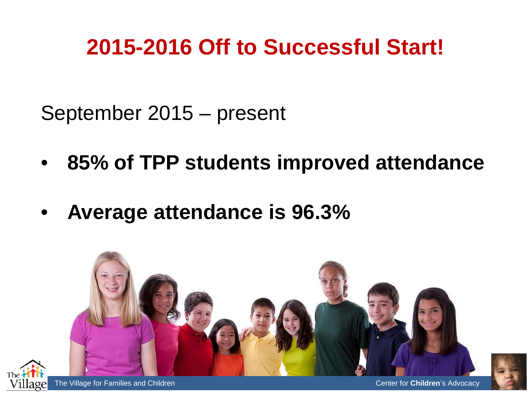## **2015-2016 Off to Successful Start!**

September 2015 – present

- **85% of TPP students improved attendance**
- **Average attendance is 96.3%**